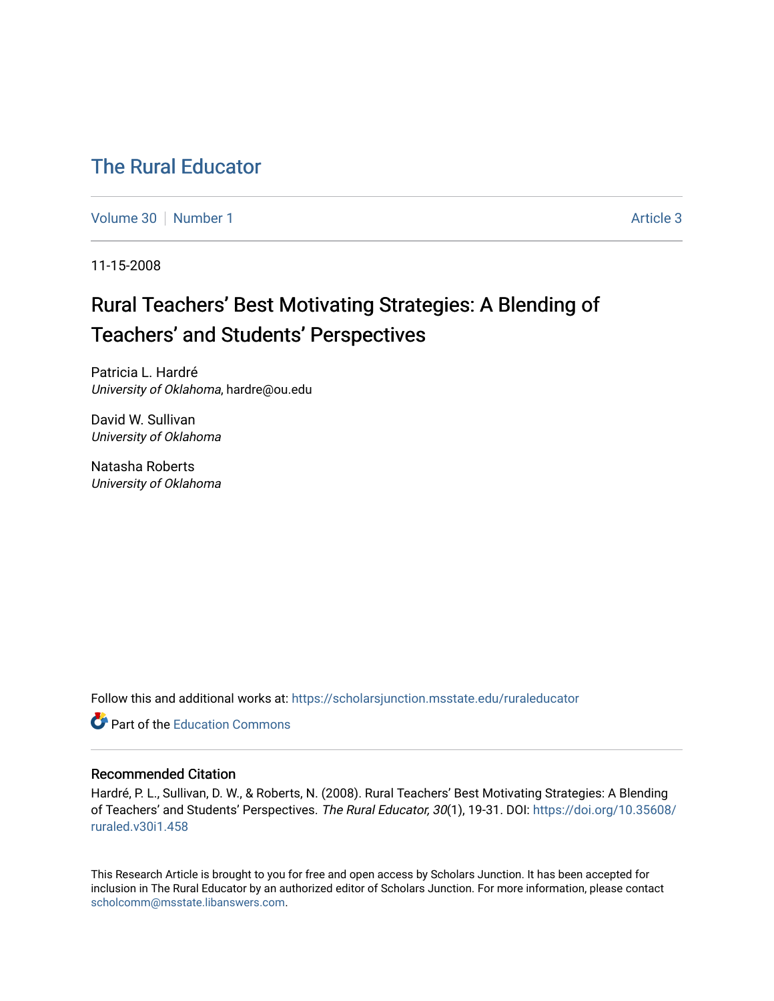# [The Rural Educator](https://scholarsjunction.msstate.edu/ruraleducator)

[Volume 30](https://scholarsjunction.msstate.edu/ruraleducator/vol30) [Number 1](https://scholarsjunction.msstate.edu/ruraleducator/vol30/iss1) Article 3

11-15-2008

# Rural Teachers' Best Motivating Strategies: A Blending of Teachers' and Students' Perspectives

Patricia L. Hardré University of Oklahoma, hardre@ou.edu

David W. Sullivan University of Oklahoma

Natasha Roberts University of Oklahoma

Follow this and additional works at: [https://scholarsjunction.msstate.edu/ruraleducator](https://scholarsjunction.msstate.edu/ruraleducator?utm_source=scholarsjunction.msstate.edu%2Fruraleducator%2Fvol30%2Fiss1%2F3&utm_medium=PDF&utm_campaign=PDFCoverPages)

**C** Part of the [Education Commons](http://network.bepress.com/hgg/discipline/784?utm_source=scholarsjunction.msstate.edu%2Fruraleducator%2Fvol30%2Fiss1%2F3&utm_medium=PDF&utm_campaign=PDFCoverPages)

## Recommended Citation

Hardré, P. L., Sullivan, D. W., & Roberts, N. (2008). Rural Teachers' Best Motivating Strategies: A Blending of Teachers' and Students' Perspectives. The Rural Educator, 30(1), 19-31. DOI: [https://doi.org/10.35608/](https://doi.org/10.35608/ruraled.v30i1.458) [ruraled.v30i1.458](https://doi.org/10.35608/ruraled.v30i1.458)

This Research Article is brought to you for free and open access by Scholars Junction. It has been accepted for inclusion in The Rural Educator by an authorized editor of Scholars Junction. For more information, please contact [scholcomm@msstate.libanswers.com.](mailto:scholcomm@msstate.libanswers.com)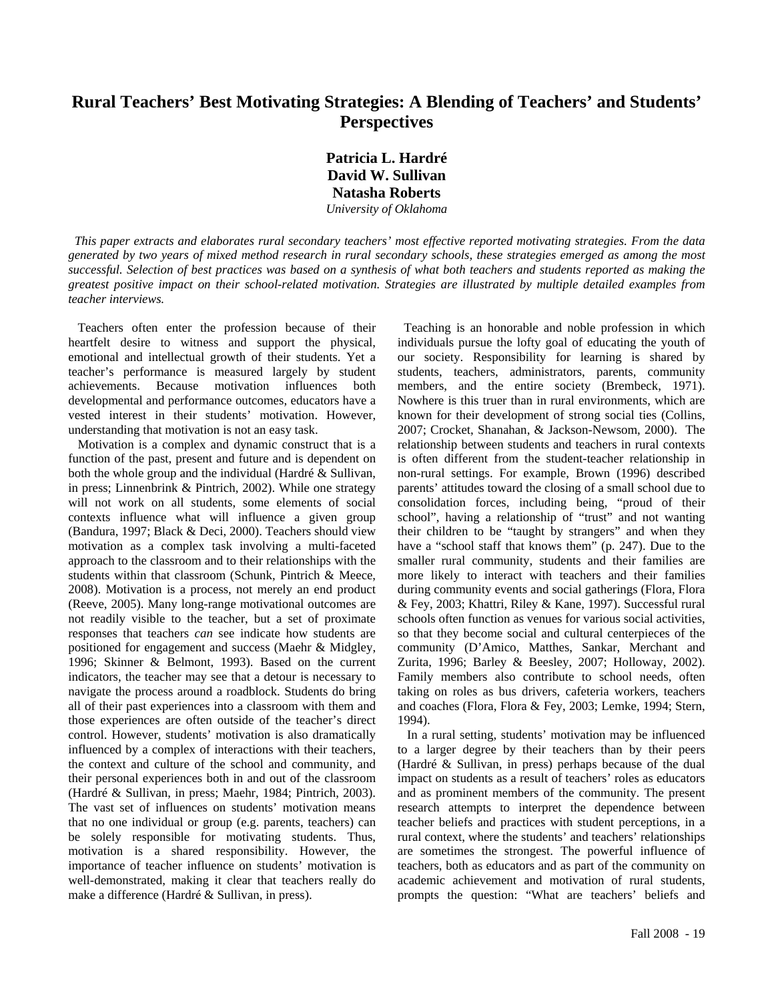# **Rural Teachers' Best Motivating Strategies: A Blending of Teachers' and Students' Perspectives**

**Patricia L. Hardré David W. Sullivan Natasha Roberts**  *University of Oklahoma* 

 *This paper extracts and elaborates rural secondary teachers' most effective reported motivating strategies. From the data generated by two years of mixed method research in rural secondary schools, these strategies emerged as among the most successful. Selection of best practices was based on a synthesis of what both teachers and students reported as making the greatest positive impact on their school-related motivation. Strategies are illustrated by multiple detailed examples from teacher interviews.* 

 Teachers often enter the profession because of their heartfelt desire to witness and support the physical, emotional and intellectual growth of their students. Yet a teacher's performance is measured largely by student achievements. Because motivation influences both developmental and performance outcomes, educators have a vested interest in their students' motivation. However, understanding that motivation is not an easy task.

 Motivation is a complex and dynamic construct that is a function of the past, present and future and is dependent on both the whole group and the individual (Hardré & Sullivan, in press; Linnenbrink & Pintrich, 2002). While one strategy will not work on all students, some elements of social contexts influence what will influence a given group (Bandura, 1997; Black & Deci, 2000). Teachers should view motivation as a complex task involving a multi-faceted approach to the classroom and to their relationships with the students within that classroom (Schunk, Pintrich & Meece, 2008). Motivation is a process, not merely an end product (Reeve, 2005). Many long-range motivational outcomes are not readily visible to the teacher, but a set of proximate responses that teachers *can* see indicate how students are positioned for engagement and success (Maehr & Midgley, 1996; Skinner & Belmont, 1993). Based on the current indicators, the teacher may see that a detour is necessary to navigate the process around a roadblock. Students do bring all of their past experiences into a classroom with them and those experiences are often outside of the teacher's direct control. However, students' motivation is also dramatically influenced by a complex of interactions with their teachers, the context and culture of the school and community, and their personal experiences both in and out of the classroom (Hardré & Sullivan, in press; Maehr, 1984; Pintrich, 2003). The vast set of influences on students' motivation means that no one individual or group (e.g. parents, teachers) can be solely responsible for motivating students. Thus, motivation is a shared responsibility. However, the importance of teacher influence on students' motivation is well-demonstrated, making it clear that teachers really do make a difference (Hardré & Sullivan, in press).

 Teaching is an honorable and noble profession in which individuals pursue the lofty goal of educating the youth of our society. Responsibility for learning is shared by students, teachers, administrators, parents, community members, and the entire society (Brembeck, 1971). Nowhere is this truer than in rural environments, which are known for their development of strong social ties (Collins, 2007; Crocket, Shanahan, & Jackson-Newsom, 2000). The relationship between students and teachers in rural contexts is often different from the student-teacher relationship in non-rural settings. For example, Brown (1996) described parents' attitudes toward the closing of a small school due to consolidation forces, including being, "proud of their school", having a relationship of "trust" and not wanting their children to be "taught by strangers" and when they have a "school staff that knows them" (p. 247). Due to the smaller rural community, students and their families are more likely to interact with teachers and their families during community events and social gatherings (Flora, Flora & Fey, 2003; Khattri, Riley & Kane, 1997). Successful rural schools often function as venues for various social activities, so that they become social and cultural centerpieces of the community (D'Amico, Matthes, Sankar, Merchant and Zurita, 1996; Barley & Beesley, 2007; Holloway, 2002). Family members also contribute to school needs, often taking on roles as bus drivers, cafeteria workers, teachers and coaches (Flora, Flora & Fey, 2003; Lemke, 1994; Stern, 1994).

 In a rural setting, students' motivation may be influenced to a larger degree by their teachers than by their peers (Hardré & Sullivan, in press) perhaps because of the dual impact on students as a result of teachers' roles as educators and as prominent members of the community. The present research attempts to interpret the dependence between teacher beliefs and practices with student perceptions, in a rural context, where the students' and teachers' relationships are sometimes the strongest. The powerful influence of teachers, both as educators and as part of the community on academic achievement and motivation of rural students, prompts the question: "What are teachers' beliefs and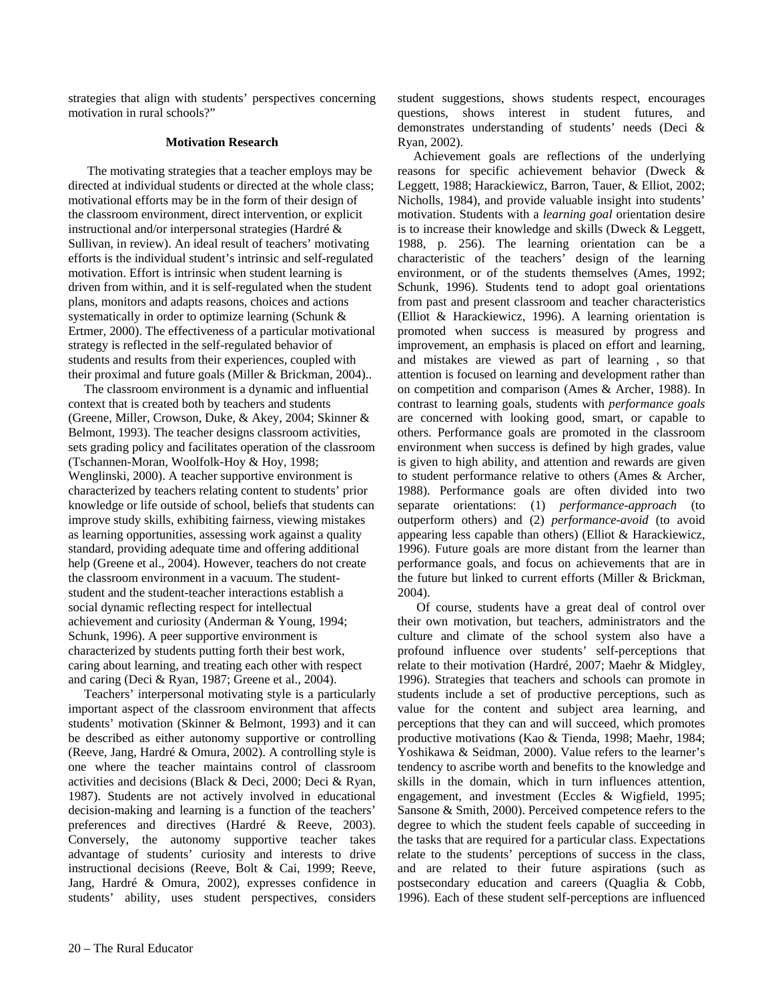strategies that align with students' perspectives concerning motivation in rural schools?"

#### **Motivation Research**

 The motivating strategies that a teacher employs may be directed at individual students or directed at the whole class; motivational efforts may be in the form of their design of the classroom environment, direct intervention, or explicit instructional and/or interpersonal strategies (Hardré & Sullivan, in review). An ideal result of teachers' motivating efforts is the individual student's intrinsic and self-regulated motivation. Effort is intrinsic when student learning is driven from within, and it is self-regulated when the student plans, monitors and adapts reasons, choices and actions systematically in order to optimize learning (Schunk & Ertmer, 2000). The effectiveness of a particular motivational strategy is reflected in the self-regulated behavior of students and results from their experiences, coupled with their proximal and future goals (Miller & Brickman, 2004)..

 The classroom environment is a dynamic and influential context that is created both by teachers and students (Greene, Miller, Crowson, Duke, & Akey, 2004; Skinner & Belmont, 1993). The teacher designs classroom activities, sets grading policy and facilitates operation of the classroom (Tschannen-Moran, Woolfolk-Hoy & Hoy, 1998; Wenglinski, 2000). A teacher supportive environment is characterized by teachers relating content to students' prior knowledge or life outside of school, beliefs that students can improve study skills, exhibiting fairness, viewing mistakes as learning opportunities, assessing work against a quality standard, providing adequate time and offering additional help (Greene et al., 2004). However, teachers do not create the classroom environment in a vacuum. The studentstudent and the student-teacher interactions establish a social dynamic reflecting respect for intellectual achievement and curiosity (Anderman & Young, 1994; Schunk, 1996). A peer supportive environment is characterized by students putting forth their best work, caring about learning, and treating each other with respect and caring (Deci & Ryan, 1987; Greene et al., 2004).

 Teachers' interpersonal motivating style is a particularly important aspect of the classroom environment that affects students' motivation (Skinner & Belmont, 1993) and it can be described as either autonomy supportive or controlling (Reeve, Jang, Hardré & Omura, 2002). A controlling style is one where the teacher maintains control of classroom activities and decisions (Black & Deci, 2000; Deci & Ryan, 1987). Students are not actively involved in educational decision-making and learning is a function of the teachers' preferences and directives (Hardré & Reeve, 2003). Conversely, the autonomy supportive teacher takes advantage of students' curiosity and interests to drive instructional decisions (Reeve, Bolt & Cai, 1999; Reeve, Jang, Hardré & Omura, 2002), expresses confidence in students' ability, uses student perspectives, considers student suggestions, shows students respect, encourages questions, shows interest in student futures, and demonstrates understanding of students' needs (Deci & Ryan, 2002).

 Achievement goals are reflections of the underlying reasons for specific achievement behavior (Dweck & Leggett, 1988; Harackiewicz, Barron, Tauer, & Elliot, 2002; Nicholls, 1984), and provide valuable insight into students' motivation. Students with a *learning goal* orientation desire is to increase their knowledge and skills (Dweck & Leggett, 1988, p. 256). The learning orientation can be a characteristic of the teachers' design of the learning environment, or of the students themselves (Ames, 1992; Schunk, 1996). Students tend to adopt goal orientations from past and present classroom and teacher characteristics (Elliot & Harackiewicz, 1996). A learning orientation is promoted when success is measured by progress and improvement, an emphasis is placed on effort and learning, and mistakes are viewed as part of learning , so that attention is focused on learning and development rather than on competition and comparison (Ames & Archer, 1988). In contrast to learning goals, students with *performance goals*  are concerned with looking good, smart, or capable to others. Performance goals are promoted in the classroom environment when success is defined by high grades, value is given to high ability, and attention and rewards are given to student performance relative to others (Ames & Archer, 1988). Performance goals are often divided into two separate orientations: (1) *performance-approach* (to outperform others) and (2) *performance-avoid* (to avoid appearing less capable than others) (Elliot & Harackiewicz, 1996). Future goals are more distant from the learner than performance goals, and focus on achievements that are in the future but linked to current efforts (Miller & Brickman, 2004).

 Of course, students have a great deal of control over their own motivation, but teachers, administrators and the culture and climate of the school system also have a profound influence over students' self-perceptions that relate to their motivation (Hardré, 2007; Maehr & Midgley, 1996). Strategies that teachers and schools can promote in students include a set of productive perceptions, such as value for the content and subject area learning, and perceptions that they can and will succeed, which promotes productive motivations (Kao & Tienda, 1998; Maehr, 1984; Yoshikawa & Seidman, 2000). Value refers to the learner's tendency to ascribe worth and benefits to the knowledge and skills in the domain, which in turn influences attention, engagement, and investment (Eccles & Wigfield, 1995; Sansone & Smith, 2000). Perceived competence refers to the degree to which the student feels capable of succeeding in the tasks that are required for a particular class. Expectations relate to the students' perceptions of success in the class, and are related to their future aspirations (such as postsecondary education and careers (Quaglia & Cobb, 1996). Each of these student self-perceptions are influenced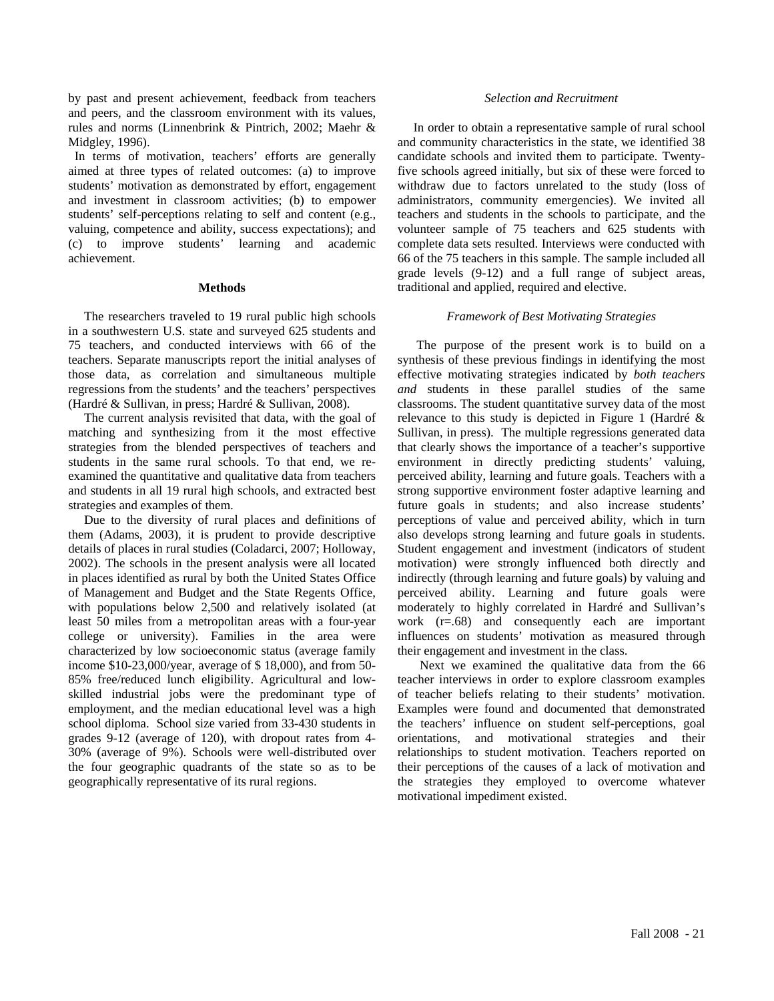by past and present achievement, feedback from teachers and peers, and the classroom environment with its values, rules and norms (Linnenbrink & Pintrich, 2002; Maehr & Midgley, 1996).

 In terms of motivation, teachers' efforts are generally aimed at three types of related outcomes: (a) to improve students' motivation as demonstrated by effort, engagement and investment in classroom activities; (b) to empower students' self-perceptions relating to self and content (e.g., valuing, competence and ability, success expectations); and (c) to improve students' learning and academic achievement.

#### **Methods**

 The researchers traveled to 19 rural public high schools in a southwestern U.S. state and surveyed 625 students and 75 teachers, and conducted interviews with 66 of the teachers. Separate manuscripts report the initial analyses of those data, as correlation and simultaneous multiple regressions from the students' and the teachers' perspectives (Hardré & Sullivan, in press; Hardré & Sullivan, 2008).

 The current analysis revisited that data, with the goal of matching and synthesizing from it the most effective strategies from the blended perspectives of teachers and students in the same rural schools. To that end, we reexamined the quantitative and qualitative data from teachers and students in all 19 rural high schools, and extracted best strategies and examples of them.

 Due to the diversity of rural places and definitions of them (Adams, 2003), it is prudent to provide descriptive details of places in rural studies (Coladarci, 2007; Holloway, 2002). The schools in the present analysis were all located in places identified as rural by both the United States Office of Management and Budget and the State Regents Office, with populations below 2,500 and relatively isolated (at least 50 miles from a metropolitan areas with a four-year college or university). Families in the area were characterized by low socioeconomic status (average family income \$10-23,000/year, average of \$ 18,000), and from 50- 85% free/reduced lunch eligibility. Agricultural and lowskilled industrial jobs were the predominant type of employment, and the median educational level was a high school diploma. School size varied from 33-430 students in grades 9-12 (average of 120), with dropout rates from 4- 30% (average of 9%). Schools were well-distributed over the four geographic quadrants of the state so as to be geographically representative of its rural regions.

### *Selection and Recruitment*

 In order to obtain a representative sample of rural school and community characteristics in the state, we identified 38 candidate schools and invited them to participate. Twentyfive schools agreed initially, but six of these were forced to withdraw due to factors unrelated to the study (loss of administrators, community emergencies). We invited all teachers and students in the schools to participate, and the volunteer sample of 75 teachers and 625 students with complete data sets resulted. Interviews were conducted with 66 of the 75 teachers in this sample. The sample included all grade levels (9-12) and a full range of subject areas, traditional and applied, required and elective.

#### *Framework of Best Motivating Strategies*

 The purpose of the present work is to build on a synthesis of these previous findings in identifying the most effective motivating strategies indicated by *both teachers and* students in these parallel studies of the same classrooms. The student quantitative survey data of the most relevance to this study is depicted in Figure 1 (Hardré & Sullivan, in press). The multiple regressions generated data that clearly shows the importance of a teacher's supportive environment in directly predicting students' valuing, perceived ability, learning and future goals. Teachers with a strong supportive environment foster adaptive learning and future goals in students; and also increase students' perceptions of value and perceived ability, which in turn also develops strong learning and future goals in students. Student engagement and investment (indicators of student motivation) were strongly influenced both directly and indirectly (through learning and future goals) by valuing and perceived ability. Learning and future goals were moderately to highly correlated in Hardré and Sullivan's work (r=.68) and consequently each are important influences on students' motivation as measured through their engagement and investment in the class.

 Next we examined the qualitative data from the 66 teacher interviews in order to explore classroom examples of teacher beliefs relating to their students' motivation. Examples were found and documented that demonstrated the teachers' influence on student self-perceptions, goal orientations, and motivational strategies and their relationships to student motivation. Teachers reported on their perceptions of the causes of a lack of motivation and the strategies they employed to overcome whatever motivational impediment existed.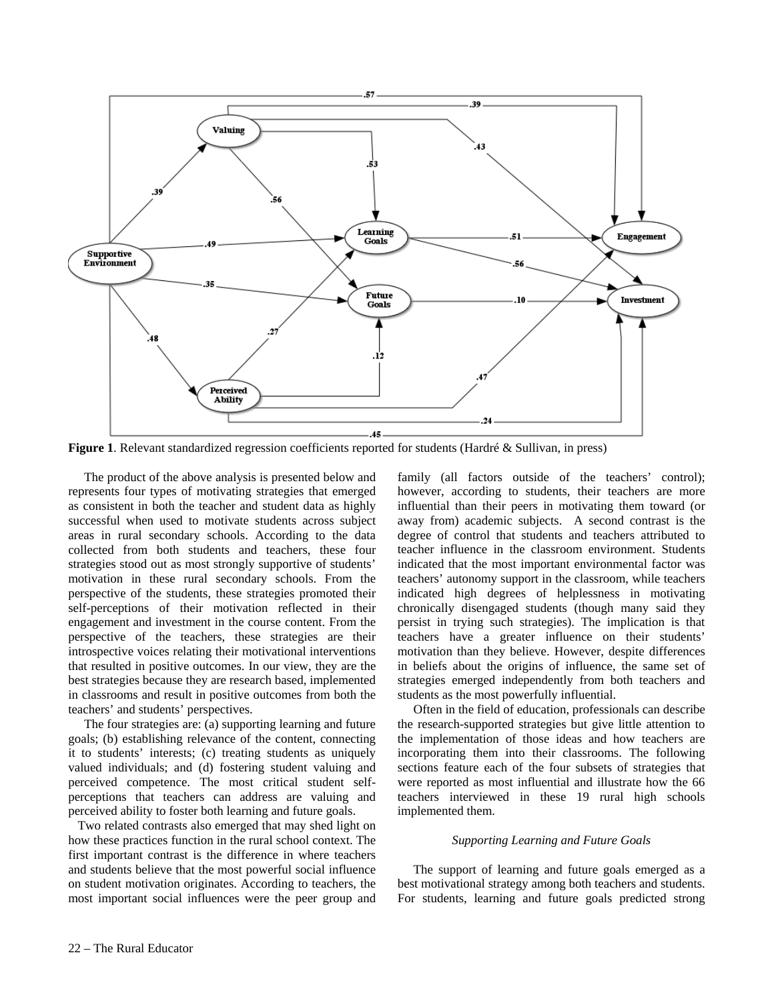

**Figure 1**. Relevant standardized regression coefficients reported for students (Hardré & Sullivan, in press)

 The product of the above analysis is presented below and represents four types of motivating strategies that emerged as consistent in both the teacher and student data as highly successful when used to motivate students across subject areas in rural secondary schools. According to the data collected from both students and teachers, these four strategies stood out as most strongly supportive of students' motivation in these rural secondary schools. From the perspective of the students, these strategies promoted their self-perceptions of their motivation reflected in their engagement and investment in the course content. From the perspective of the teachers, these strategies are their introspective voices relating their motivational interventions that resulted in positive outcomes. In our view, they are the best strategies because they are research based, implemented in classrooms and result in positive outcomes from both the teachers' and students' perspectives.

 The four strategies are: (a) supporting learning and future goals; (b) establishing relevance of the content, connecting it to students' interests; (c) treating students as uniquely valued individuals; and (d) fostering student valuing and perceived competence. The most critical student selfperceptions that teachers can address are valuing and perceived ability to foster both learning and future goals.

 Two related contrasts also emerged that may shed light on how these practices function in the rural school context. The first important contrast is the difference in where teachers and students believe that the most powerful social influence on student motivation originates. According to teachers, the most important social influences were the peer group and family (all factors outside of the teachers' control); however, according to students, their teachers are more influential than their peers in motivating them toward (or away from) academic subjects. A second contrast is the degree of control that students and teachers attributed to teacher influence in the classroom environment. Students indicated that the most important environmental factor was teachers' autonomy support in the classroom, while teachers indicated high degrees of helplessness in motivating chronically disengaged students (though many said they persist in trying such strategies). The implication is that teachers have a greater influence on their students' motivation than they believe. However, despite differences in beliefs about the origins of influence, the same set of strategies emerged independently from both teachers and students as the most powerfully influential.

 Often in the field of education, professionals can describe the research-supported strategies but give little attention to the implementation of those ideas and how teachers are incorporating them into their classrooms. The following sections feature each of the four subsets of strategies that were reported as most influential and illustrate how the 66 teachers interviewed in these 19 rural high schools implemented them.

#### *Supporting Learning and Future Goals*

 The support of learning and future goals emerged as a best motivational strategy among both teachers and students. For students, learning and future goals predicted strong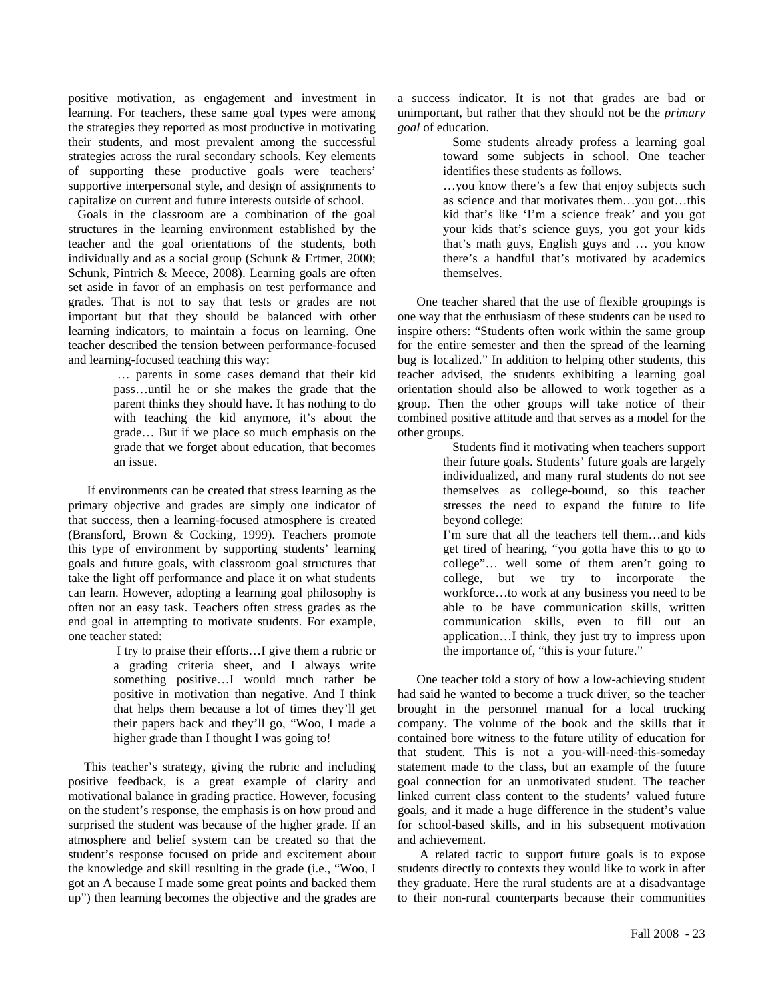positive motivation, as engagement and investment in learning. For teachers, these same goal types were among the strategies they reported as most productive in motivating their students, and most prevalent among the successful strategies across the rural secondary schools. Key elements of supporting these productive goals were teachers' supportive interpersonal style, and design of assignments to capitalize on current and future interests outside of school.

 Goals in the classroom are a combination of the goal structures in the learning environment established by the teacher and the goal orientations of the students, both individually and as a social group (Schunk & Ertmer, 2000; Schunk, Pintrich & Meece, 2008). Learning goals are often set aside in favor of an emphasis on test performance and grades. That is not to say that tests or grades are not important but that they should be balanced with other learning indicators, to maintain a focus on learning. One teacher described the tension between performance-focused and learning-focused teaching this way:

> … parents in some cases demand that their kid pass…until he or she makes the grade that the parent thinks they should have. It has nothing to do with teaching the kid anymore, it's about the grade… But if we place so much emphasis on the grade that we forget about education, that becomes an issue.

 If environments can be created that stress learning as the primary objective and grades are simply one indicator of that success, then a learning-focused atmosphere is created (Bransford, Brown & Cocking, 1999). Teachers promote this type of environment by supporting students' learning goals and future goals, with classroom goal structures that take the light off performance and place it on what students can learn. However, adopting a learning goal philosophy is often not an easy task. Teachers often stress grades as the end goal in attempting to motivate students. For example, one teacher stated:

> I try to praise their efforts…I give them a rubric or a grading criteria sheet, and I always write something positive…I would much rather be positive in motivation than negative. And I think that helps them because a lot of times they'll get their papers back and they'll go, "Woo, I made a higher grade than I thought I was going to!

 This teacher's strategy, giving the rubric and including positive feedback, is a great example of clarity and motivational balance in grading practice. However, focusing on the student's response, the emphasis is on how proud and surprised the student was because of the higher grade. If an atmosphere and belief system can be created so that the student's response focused on pride and excitement about the knowledge and skill resulting in the grade (i.e., "Woo, I got an A because I made some great points and backed them up") then learning becomes the objective and the grades are

a success indicator. It is not that grades are bad or unimportant, but rather that they should not be the *primary goal* of education.

 Some students already profess a learning goal toward some subjects in school. One teacher identifies these students as follows.

…you know there's a few that enjoy subjects such as science and that motivates them…you got…this kid that's like 'I'm a science freak' and you got your kids that's science guys, you got your kids that's math guys, English guys and … you know there's a handful that's motivated by academics themselves.

 One teacher shared that the use of flexible groupings is one way that the enthusiasm of these students can be used to inspire others: "Students often work within the same group for the entire semester and then the spread of the learning bug is localized." In addition to helping other students, this teacher advised, the students exhibiting a learning goal orientation should also be allowed to work together as a group. Then the other groups will take notice of their combined positive attitude and that serves as a model for the other groups.

 Students find it motivating when teachers support their future goals. Students' future goals are largely individualized, and many rural students do not see themselves as college-bound, so this teacher stresses the need to expand the future to life beyond college:

I'm sure that all the teachers tell them…and kids get tired of hearing, "you gotta have this to go to college"… well some of them aren't going to college, but we try to incorporate the workforce…to work at any business you need to be able to be have communication skills, written communication skills, even to fill out an application…I think, they just try to impress upon the importance of, "this is your future."

 One teacher told a story of how a low-achieving student had said he wanted to become a truck driver, so the teacher brought in the personnel manual for a local trucking company. The volume of the book and the skills that it contained bore witness to the future utility of education for that student. This is not a you-will-need-this-someday statement made to the class, but an example of the future goal connection for an unmotivated student. The teacher linked current class content to the students' valued future goals, and it made a huge difference in the student's value for school-based skills, and in his subsequent motivation and achievement.

 A related tactic to support future goals is to expose students directly to contexts they would like to work in after they graduate. Here the rural students are at a disadvantage to their non-rural counterparts because their communities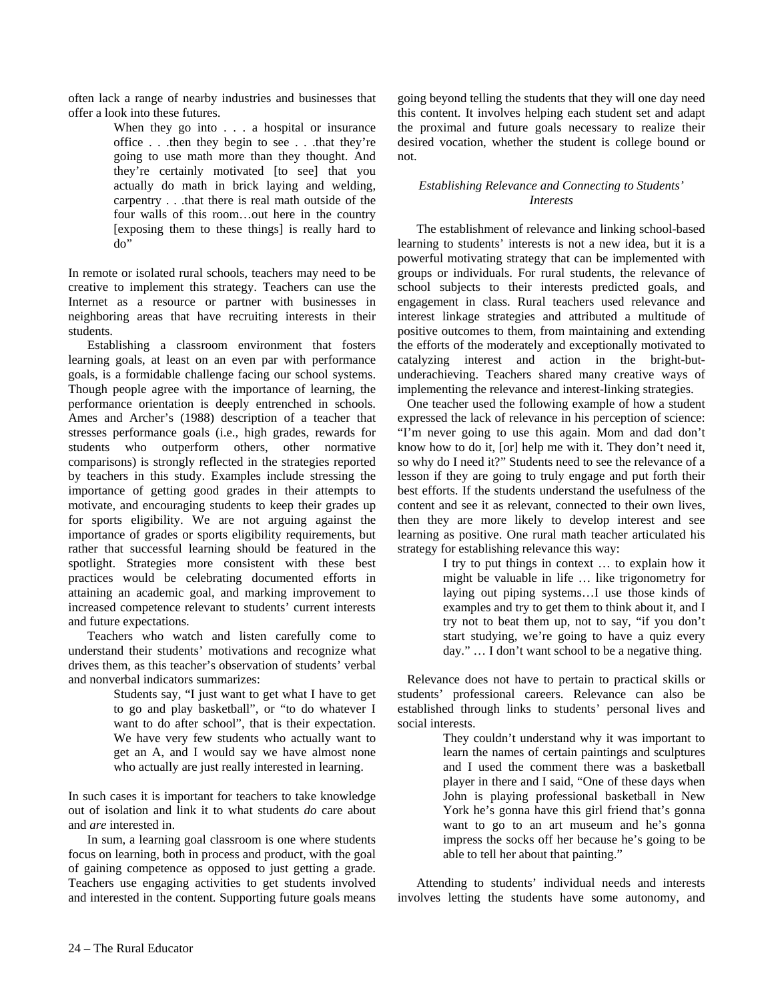often lack a range of nearby industries and businesses that offer a look into these futures.

> When they go into . . . a hospital or insurance office . . .then they begin to see . . .that they're going to use math more than they thought. And they're certainly motivated [to see] that you actually do math in brick laying and welding, carpentry . . .that there is real math outside of the four walls of this room…out here in the country [exposing them to these things] is really hard to do"

In remote or isolated rural schools, teachers may need to be creative to implement this strategy. Teachers can use the Internet as a resource or partner with businesses in neighboring areas that have recruiting interests in their students.

 Establishing a classroom environment that fosters learning goals, at least on an even par with performance goals, is a formidable challenge facing our school systems. Though people agree with the importance of learning, the performance orientation is deeply entrenched in schools. Ames and Archer's (1988) description of a teacher that stresses performance goals (i.e., high grades, rewards for students who outperform others, other normative comparisons) is strongly reflected in the strategies reported by teachers in this study. Examples include stressing the importance of getting good grades in their attempts to motivate, and encouraging students to keep their grades up for sports eligibility. We are not arguing against the importance of grades or sports eligibility requirements, but rather that successful learning should be featured in the spotlight. Strategies more consistent with these best practices would be celebrating documented efforts in attaining an academic goal, and marking improvement to increased competence relevant to students' current interests and future expectations.

 Teachers who watch and listen carefully come to understand their students' motivations and recognize what drives them, as this teacher's observation of students' verbal and nonverbal indicators summarizes:

> Students say, "I just want to get what I have to get to go and play basketball", or "to do whatever I want to do after school", that is their expectation. We have very few students who actually want to get an A, and I would say we have almost none who actually are just really interested in learning.

In such cases it is important for teachers to take knowledge out of isolation and link it to what students *do* care about and *are* interested in.

 In sum, a learning goal classroom is one where students focus on learning, both in process and product, with the goal of gaining competence as opposed to just getting a grade. Teachers use engaging activities to get students involved and interested in the content. Supporting future goals means going beyond telling the students that they will one day need this content. It involves helping each student set and adapt the proximal and future goals necessary to realize their desired vocation, whether the student is college bound or not.

## *Establishing Relevance and Connecting to Students' Interests*

 The establishment of relevance and linking school-based learning to students' interests is not a new idea, but it is a powerful motivating strategy that can be implemented with groups or individuals. For rural students, the relevance of school subjects to their interests predicted goals, and engagement in class. Rural teachers used relevance and interest linkage strategies and attributed a multitude of positive outcomes to them, from maintaining and extending the efforts of the moderately and exceptionally motivated to catalyzing interest and action in the bright-butunderachieving. Teachers shared many creative ways of implementing the relevance and interest-linking strategies.

 One teacher used the following example of how a student expressed the lack of relevance in his perception of science: "I'm never going to use this again. Mom and dad don't know how to do it, [or] help me with it. They don't need it, so why do I need it?" Students need to see the relevance of a lesson if they are going to truly engage and put forth their best efforts. If the students understand the usefulness of the content and see it as relevant, connected to their own lives, then they are more likely to develop interest and see learning as positive. One rural math teacher articulated his strategy for establishing relevance this way:

> I try to put things in context … to explain how it might be valuable in life … like trigonometry for laying out piping systems…I use those kinds of examples and try to get them to think about it, and I try not to beat them up, not to say, "if you don't start studying, we're going to have a quiz every day." … I don't want school to be a negative thing.

 Relevance does not have to pertain to practical skills or students' professional careers. Relevance can also be established through links to students' personal lives and social interests.

> They couldn't understand why it was important to learn the names of certain paintings and sculptures and I used the comment there was a basketball player in there and I said, "One of these days when John is playing professional basketball in New York he's gonna have this girl friend that's gonna want to go to an art museum and he's gonna impress the socks off her because he's going to be able to tell her about that painting."

 Attending to students' individual needs and interests involves letting the students have some autonomy, and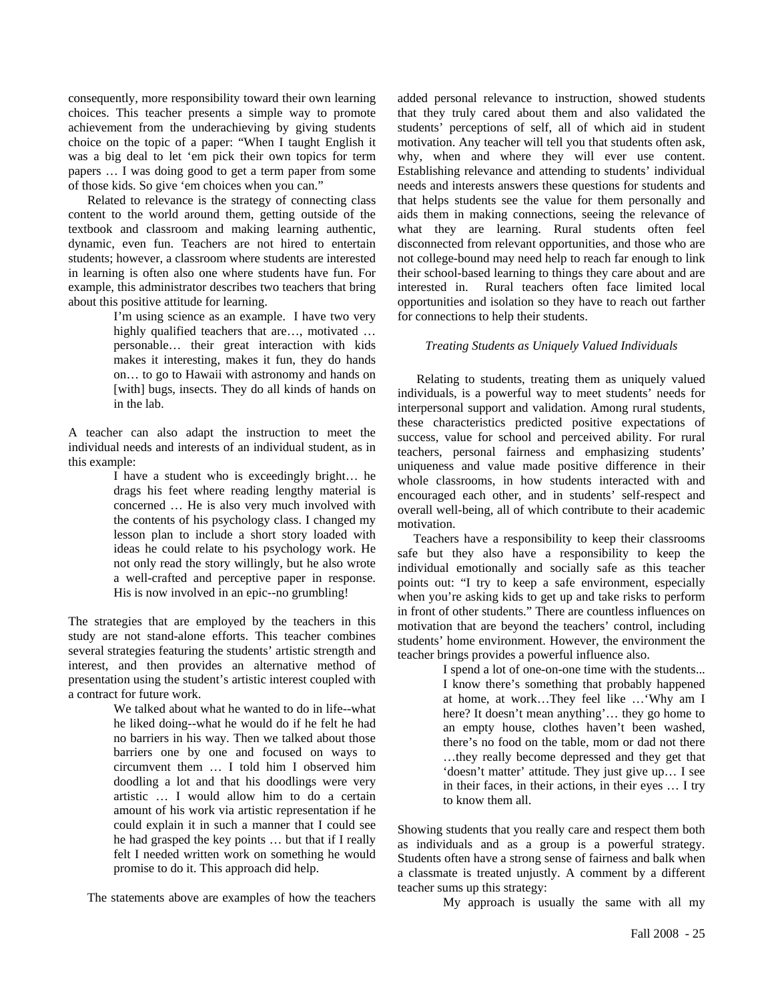consequently, more responsibility toward their own learning choices. This teacher presents a simple way to promote achievement from the underachieving by giving students choice on the topic of a paper: "When I taught English it was a big deal to let 'em pick their own topics for term papers … I was doing good to get a term paper from some of those kids. So give 'em choices when you can."

 Related to relevance is the strategy of connecting class content to the world around them, getting outside of the textbook and classroom and making learning authentic, dynamic, even fun. Teachers are not hired to entertain students; however, a classroom where students are interested in learning is often also one where students have fun. For example, this administrator describes two teachers that bring about this positive attitude for learning.

> I'm using science as an example. I have two very highly qualified teachers that are…, motivated … personable… their great interaction with kids makes it interesting, makes it fun, they do hands on… to go to Hawaii with astronomy and hands on [with] bugs, insects. They do all kinds of hands on in the lab.

A teacher can also adapt the instruction to meet the individual needs and interests of an individual student, as in this example:

> I have a student who is exceedingly bright… he drags his feet where reading lengthy material is concerned … He is also very much involved with the contents of his psychology class. I changed my lesson plan to include a short story loaded with ideas he could relate to his psychology work. He not only read the story willingly, but he also wrote a well-crafted and perceptive paper in response. His is now involved in an epic--no grumbling!

The strategies that are employed by the teachers in this study are not stand-alone efforts. This teacher combines several strategies featuring the students' artistic strength and interest, and then provides an alternative method of presentation using the student's artistic interest coupled with a contract for future work.

> We talked about what he wanted to do in life--what he liked doing--what he would do if he felt he had no barriers in his way. Then we talked about those barriers one by one and focused on ways to circumvent them … I told him I observed him doodling a lot and that his doodlings were very artistic … I would allow him to do a certain amount of his work via artistic representation if he could explain it in such a manner that I could see he had grasped the key points … but that if I really felt I needed written work on something he would promise to do it. This approach did help.

The statements above are examples of how the teachers

added personal relevance to instruction, showed students that they truly cared about them and also validated the students' perceptions of self, all of which aid in student motivation. Any teacher will tell you that students often ask, why, when and where they will ever use content. Establishing relevance and attending to students' individual needs and interests answers these questions for students and that helps students see the value for them personally and aids them in making connections, seeing the relevance of what they are learning. Rural students often feel disconnected from relevant opportunities, and those who are not college-bound may need help to reach far enough to link their school-based learning to things they care about and are interested in. Rural teachers often face limited local opportunities and isolation so they have to reach out farther for connections to help their students.

#### *Treating Students as Uniquely Valued Individuals*

 Relating to students, treating them as uniquely valued individuals, is a powerful way to meet students' needs for interpersonal support and validation. Among rural students, these characteristics predicted positive expectations of success, value for school and perceived ability. For rural teachers, personal fairness and emphasizing students' uniqueness and value made positive difference in their whole classrooms, in how students interacted with and encouraged each other, and in students' self-respect and overall well-being, all of which contribute to their academic motivation.

 Teachers have a responsibility to keep their classrooms safe but they also have a responsibility to keep the individual emotionally and socially safe as this teacher points out: "I try to keep a safe environment, especially when you're asking kids to get up and take risks to perform in front of other students." There are countless influences on motivation that are beyond the teachers' control, including students' home environment. However, the environment the teacher brings provides a powerful influence also.

I spend a lot of one-on-one time with the students...

I know there's something that probably happened at home, at work…They feel like …'Why am I here? It doesn't mean anything'... they go home to an empty house, clothes haven't been washed, there's no food on the table, mom or dad not there …they really become depressed and they get that 'doesn't matter' attitude. They just give up… I see in their faces, in their actions, in their eyes … I try to know them all.

Showing students that you really care and respect them both as individuals and as a group is a powerful strategy. Students often have a strong sense of fairness and balk when a classmate is treated unjustly. A comment by a different teacher sums up this strategy:

My approach is usually the same with all my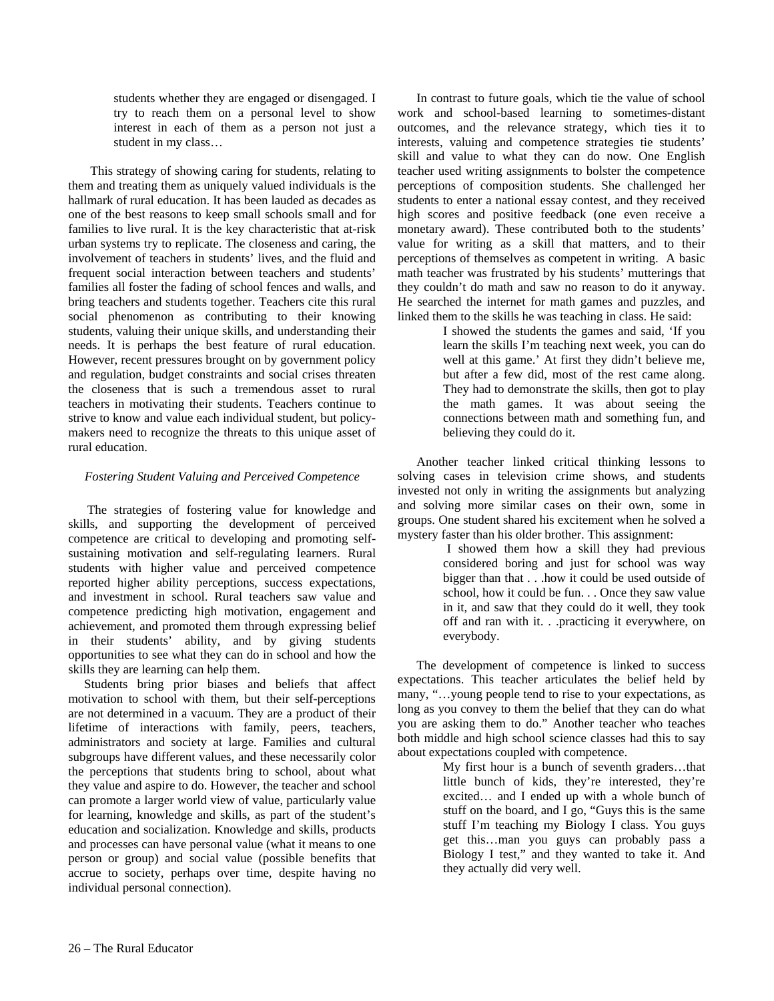students whether they are engaged or disengaged. I try to reach them on a personal level to show interest in each of them as a person not just a student in my class…

 This strategy of showing caring for students, relating to them and treating them as uniquely valued individuals is the hallmark of rural education. It has been lauded as decades as one of the best reasons to keep small schools small and for families to live rural. It is the key characteristic that at-risk urban systems try to replicate. The closeness and caring, the involvement of teachers in students' lives, and the fluid and frequent social interaction between teachers and students' families all foster the fading of school fences and walls, and bring teachers and students together. Teachers cite this rural social phenomenon as contributing to their knowing students, valuing their unique skills, and understanding their needs. It is perhaps the best feature of rural education. However, recent pressures brought on by government policy and regulation, budget constraints and social crises threaten the closeness that is such a tremendous asset to rural teachers in motivating their students. Teachers continue to strive to know and value each individual student, but policymakers need to recognize the threats to this unique asset of rural education.

### *Fostering Student Valuing and Perceived Competence*

 The strategies of fostering value for knowledge and skills, and supporting the development of perceived competence are critical to developing and promoting selfsustaining motivation and self-regulating learners. Rural students with higher value and perceived competence reported higher ability perceptions, success expectations, and investment in school. Rural teachers saw value and competence predicting high motivation, engagement and achievement, and promoted them through expressing belief in their students' ability, and by giving students opportunities to see what they can do in school and how the skills they are learning can help them.

 Students bring prior biases and beliefs that affect motivation to school with them, but their self-perceptions are not determined in a vacuum. They are a product of their lifetime of interactions with family, peers, teachers, administrators and society at large. Families and cultural subgroups have different values, and these necessarily color the perceptions that students bring to school, about what they value and aspire to do. However, the teacher and school can promote a larger world view of value, particularly value for learning, knowledge and skills, as part of the student's education and socialization. Knowledge and skills, products and processes can have personal value (what it means to one person or group) and social value (possible benefits that accrue to society, perhaps over time, despite having no individual personal connection).

 In contrast to future goals, which tie the value of school work and school-based learning to sometimes-distant outcomes, and the relevance strategy, which ties it to interests, valuing and competence strategies tie students' skill and value to what they can do now. One English teacher used writing assignments to bolster the competence perceptions of composition students. She challenged her students to enter a national essay contest, and they received high scores and positive feedback (one even receive a monetary award). These contributed both to the students' value for writing as a skill that matters, and to their perceptions of themselves as competent in writing. A basic math teacher was frustrated by his students' mutterings that they couldn't do math and saw no reason to do it anyway. He searched the internet for math games and puzzles, and linked them to the skills he was teaching in class. He said:

> I showed the students the games and said, 'If you learn the skills I'm teaching next week, you can do well at this game.' At first they didn't believe me, but after a few did, most of the rest came along. They had to demonstrate the skills, then got to play the math games. It was about seeing the connections between math and something fun, and believing they could do it.

 Another teacher linked critical thinking lessons to solving cases in television crime shows, and students invested not only in writing the assignments but analyzing and solving more similar cases on their own, some in groups. One student shared his excitement when he solved a mystery faster than his older brother. This assignment:

> I showed them how a skill they had previous considered boring and just for school was way bigger than that . . .how it could be used outside of school, how it could be fun. . . Once they saw value in it, and saw that they could do it well, they took off and ran with it. . .practicing it everywhere, on everybody.

 The development of competence is linked to success expectations. This teacher articulates the belief held by many, "…young people tend to rise to your expectations, as long as you convey to them the belief that they can do what you are asking them to do." Another teacher who teaches both middle and high school science classes had this to say about expectations coupled with competence.

> My first hour is a bunch of seventh graders…that little bunch of kids, they're interested, they're excited… and I ended up with a whole bunch of stuff on the board, and I go, "Guys this is the same stuff I'm teaching my Biology I class. You guys get this…man you guys can probably pass a Biology I test," and they wanted to take it. And they actually did very well.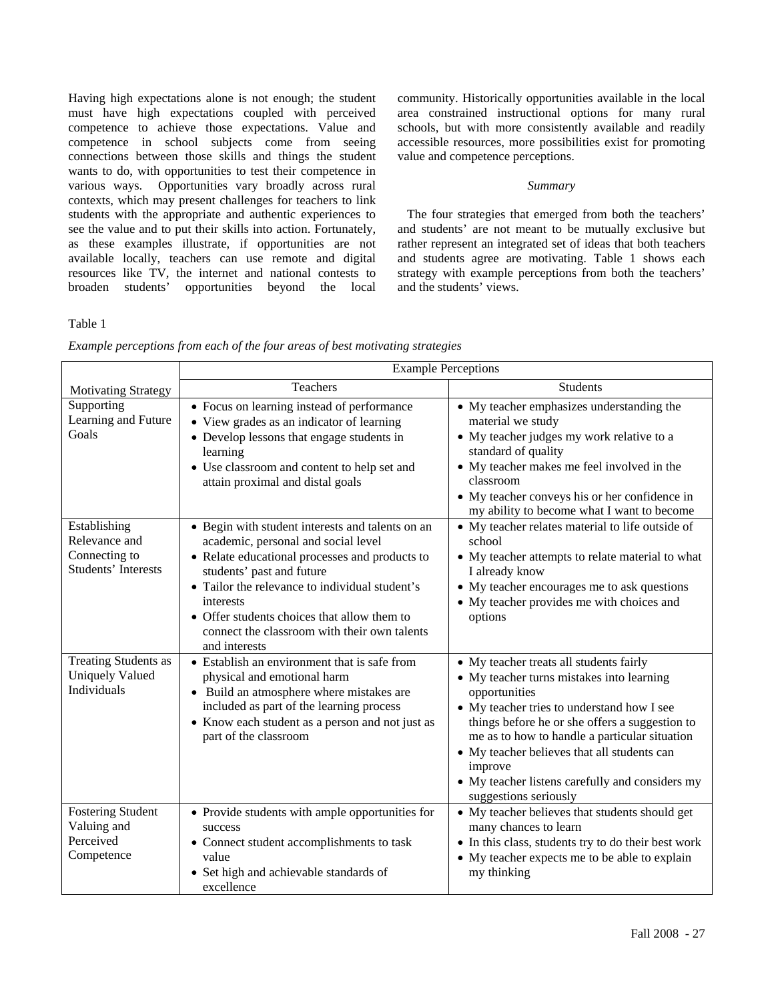Having high expectations alone is not enough; the student must have high expectations coupled with perceived competence to achieve those expectations. Value and competence in school subjects come from seeing connections between those skills and things the student wants to do, with opportunities to test their competence in various ways. Opportunities vary broadly across rural contexts, which may present challenges for teachers to link students with the appropriate and authentic experiences to see the value and to put their skills into action. Fortunately, as these examples illustrate, if opportunities are not available locally, teachers can use remote and digital resources like TV, the internet and national contests to broaden students' opportunities beyond the local

Table 1

community. Historically opportunities available in the local area constrained instructional options for many rural schools, but with more consistently available and readily accessible resources, more possibilities exist for promoting value and competence perceptions.

#### *Summary*

 The four strategies that emerged from both the teachers' and students' are not meant to be mutually exclusive but rather represent an integrated set of ideas that both teachers and students agree are motivating. Table 1 shows each strategy with example perceptions from both the teachers' and the students' views.

| Example perceptions from each of the four areas of best motivating strategies |  |  |  |  |
|-------------------------------------------------------------------------------|--|--|--|--|
|                                                                               |  |  |  |  |
|                                                                               |  |  |  |  |
|                                                                               |  |  |  |  |

|                                                                              | <b>Example Perceptions</b>                                                                                                                                                                                                                                                                                                                            |                                                                                                                                                                                                                                                                                                                                                                                              |  |  |  |  |
|------------------------------------------------------------------------------|-------------------------------------------------------------------------------------------------------------------------------------------------------------------------------------------------------------------------------------------------------------------------------------------------------------------------------------------------------|----------------------------------------------------------------------------------------------------------------------------------------------------------------------------------------------------------------------------------------------------------------------------------------------------------------------------------------------------------------------------------------------|--|--|--|--|
| <b>Motivating Strategy</b>                                                   | Teachers                                                                                                                                                                                                                                                                                                                                              | <b>Students</b>                                                                                                                                                                                                                                                                                                                                                                              |  |  |  |  |
| Supporting<br>Learning and Future<br>Goals                                   | • Focus on learning instead of performance<br>• View grades as an indicator of learning<br>• Develop lessons that engage students in<br>learning<br>• Use classroom and content to help set and<br>attain proximal and distal goals                                                                                                                   | • My teacher emphasizes understanding the<br>material we study<br>• My teacher judges my work relative to a<br>standard of quality<br>• My teacher makes me feel involved in the<br>classroom<br>• My teacher conveys his or her confidence in<br>my ability to become what I want to become                                                                                                 |  |  |  |  |
| Establishing<br>Relevance and<br>Connecting to<br><b>Students' Interests</b> | • Begin with student interests and talents on an<br>academic, personal and social level<br>• Relate educational processes and products to<br>students' past and future<br>• Tailor the relevance to individual student's<br>interests<br>• Offer students choices that allow them to<br>connect the classroom with their own talents<br>and interests | • My teacher relates material to life outside of<br>school<br>• My teacher attempts to relate material to what<br>I already know<br>• My teacher encourages me to ask questions<br>• My teacher provides me with choices and<br>options                                                                                                                                                      |  |  |  |  |
| <b>Treating Students as</b><br><b>Uniquely Valued</b><br>Individuals         | • Establish an environment that is safe from<br>physical and emotional harm<br>• Build an atmosphere where mistakes are<br>included as part of the learning process<br>• Know each student as a person and not just as<br>part of the classroom                                                                                                       | • My teacher treats all students fairly<br>• My teacher turns mistakes into learning<br>opportunities<br>• My teacher tries to understand how I see<br>things before he or she offers a suggestion to<br>me as to how to handle a particular situation<br>• My teacher believes that all students can<br>improve<br>• My teacher listens carefully and considers my<br>suggestions seriously |  |  |  |  |
| <b>Fostering Student</b><br>Valuing and<br>Perceived<br>Competence           | • Provide students with ample opportunities for<br>success<br>• Connect student accomplishments to task<br>value<br>• Set high and achievable standards of<br>excellence                                                                                                                                                                              | • My teacher believes that students should get<br>many chances to learn<br>• In this class, students try to do their best work<br>• My teacher expects me to be able to explain<br>my thinking                                                                                                                                                                                               |  |  |  |  |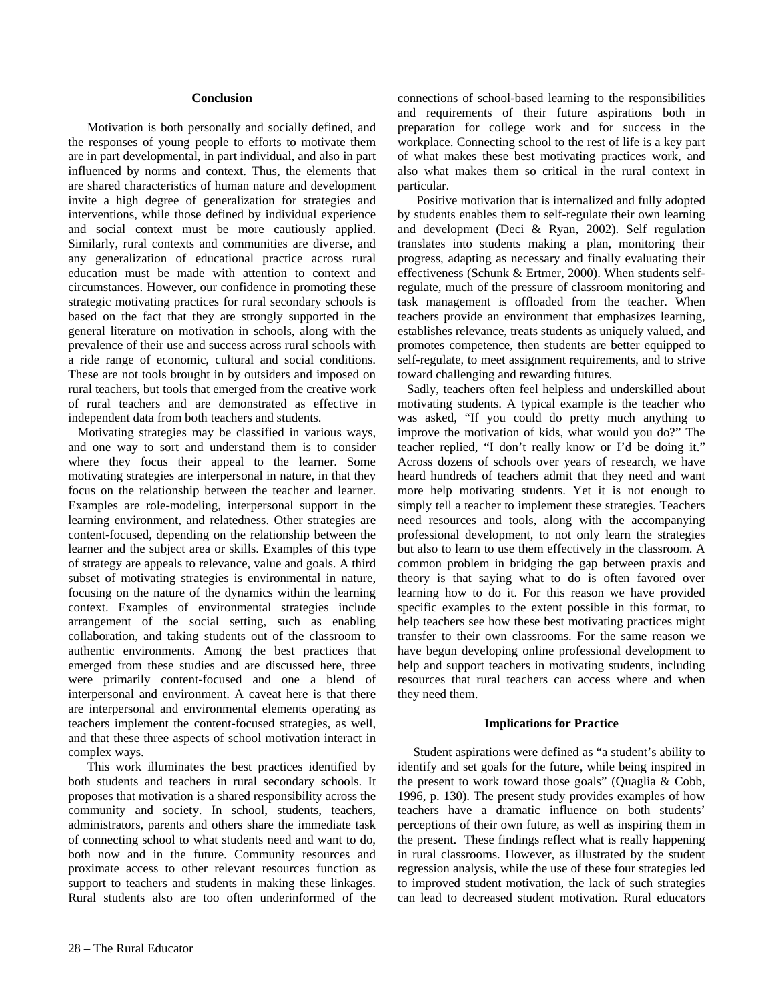#### **Conclusion**

 Motivation is both personally and socially defined, and the responses of young people to efforts to motivate them are in part developmental, in part individual, and also in part influenced by norms and context. Thus, the elements that are shared characteristics of human nature and development invite a high degree of generalization for strategies and interventions, while those defined by individual experience and social context must be more cautiously applied. Similarly, rural contexts and communities are diverse, and any generalization of educational practice across rural education must be made with attention to context and circumstances. However, our confidence in promoting these strategic motivating practices for rural secondary schools is based on the fact that they are strongly supported in the general literature on motivation in schools, along with the prevalence of their use and success across rural schools with a ride range of economic, cultural and social conditions. These are not tools brought in by outsiders and imposed on rural teachers, but tools that emerged from the creative work of rural teachers and are demonstrated as effective in independent data from both teachers and students.

 Motivating strategies may be classified in various ways, and one way to sort and understand them is to consider where they focus their appeal to the learner. Some motivating strategies are interpersonal in nature, in that they focus on the relationship between the teacher and learner. Examples are role-modeling, interpersonal support in the learning environment, and relatedness. Other strategies are content-focused, depending on the relationship between the learner and the subject area or skills. Examples of this type of strategy are appeals to relevance, value and goals. A third subset of motivating strategies is environmental in nature, focusing on the nature of the dynamics within the learning context. Examples of environmental strategies include arrangement of the social setting, such as enabling collaboration, and taking students out of the classroom to authentic environments. Among the best practices that emerged from these studies and are discussed here, three were primarily content-focused and one a blend of interpersonal and environment. A caveat here is that there are interpersonal and environmental elements operating as teachers implement the content-focused strategies, as well, and that these three aspects of school motivation interact in complex ways.

 This work illuminates the best practices identified by both students and teachers in rural secondary schools. It proposes that motivation is a shared responsibility across the community and society. In school, students, teachers, administrators, parents and others share the immediate task of connecting school to what students need and want to do, both now and in the future. Community resources and proximate access to other relevant resources function as support to teachers and students in making these linkages. Rural students also are too often underinformed of the

 Positive motivation that is internalized and fully adopted by students enables them to self-regulate their own learning and development (Deci & Ryan, 2002). Self regulation translates into students making a plan, monitoring their progress, adapting as necessary and finally evaluating their effectiveness (Schunk & Ertmer, 2000). When students selfregulate, much of the pressure of classroom monitoring and task management is offloaded from the teacher. When teachers provide an environment that emphasizes learning, establishes relevance, treats students as uniquely valued, and promotes competence, then students are better equipped to self-regulate, to meet assignment requirements, and to strive toward challenging and rewarding futures.

 Sadly, teachers often feel helpless and underskilled about motivating students. A typical example is the teacher who was asked, "If you could do pretty much anything to improve the motivation of kids, what would you do?" The teacher replied, "I don't really know or I'd be doing it." Across dozens of schools over years of research, we have heard hundreds of teachers admit that they need and want more help motivating students. Yet it is not enough to simply tell a teacher to implement these strategies. Teachers need resources and tools, along with the accompanying professional development, to not only learn the strategies but also to learn to use them effectively in the classroom. A common problem in bridging the gap between praxis and theory is that saying what to do is often favored over learning how to do it. For this reason we have provided specific examples to the extent possible in this format, to help teachers see how these best motivating practices might transfer to their own classrooms. For the same reason we have begun developing online professional development to help and support teachers in motivating students, including resources that rural teachers can access where and when they need them.

#### **Implications for Practice**

 Student aspirations were defined as "a student's ability to identify and set goals for the future, while being inspired in the present to work toward those goals" (Quaglia & Cobb, 1996, p. 130). The present study provides examples of how teachers have a dramatic influence on both students' perceptions of their own future, as well as inspiring them in the present. These findings reflect what is really happening in rural classrooms. However, as illustrated by the student regression analysis, while the use of these four strategies led to improved student motivation, the lack of such strategies can lead to decreased student motivation. Rural educators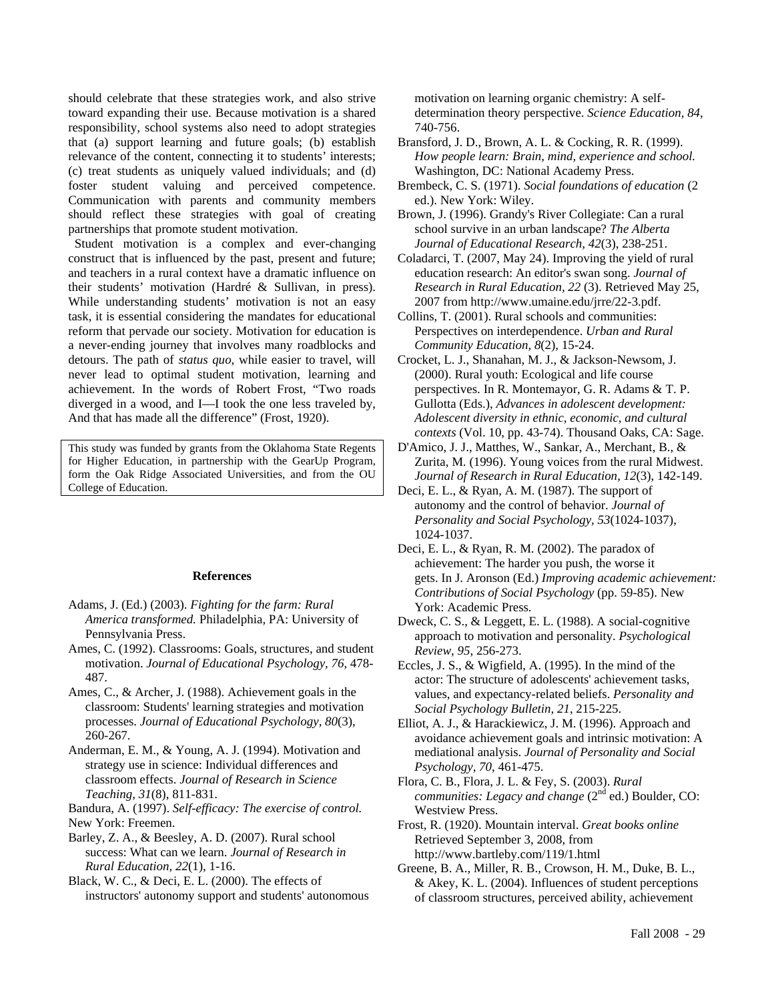should celebrate that these strategies work, and also strive toward expanding their use. Because motivation is a shared responsibility, school systems also need to adopt strategies that (a) support learning and future goals; (b) establish relevance of the content, connecting it to students' interests; (c) treat students as uniquely valued individuals; and (d) foster student valuing and perceived competence. Communication with parents and community members should reflect these strategies with goal of creating partnerships that promote student motivation.

 Student motivation is a complex and ever-changing construct that is influenced by the past, present and future; and teachers in a rural context have a dramatic influence on their students' motivation (Hardré & Sullivan, in press). While understanding students' motivation is not an easy task, it is essential considering the mandates for educational reform that pervade our society. Motivation for education is a never-ending journey that involves many roadblocks and detours. The path of *status quo*, while easier to travel, will never lead to optimal student motivation, learning and achievement. In the words of Robert Frost, "Two roads diverged in a wood, and I—I took the one less traveled by, And that has made all the difference" (Frost, 1920).

This study was funded by grants from the Oklahoma State Regents for Higher Education, in partnership with the GearUp Program, form the Oak Ridge Associated Universities, and from the OU College of Education.

#### **References**

- Adams, J. (Ed.) (2003). *Fighting for the farm: Rural America transformed.* Philadelphia, PA: University of Pennsylvania Press.
- Ames, C. (1992). Classrooms: Goals, structures, and student motivation. *Journal of Educational Psychology, 76*, 478- 487.
- Ames, C., & Archer, J. (1988). Achievement goals in the classroom: Students' learning strategies and motivation processes. *Journal of Educational Psychology, 80*(3), 260-267.
- Anderman, E. M., & Young, A. J. (1994). Motivation and strategy use in science: Individual differences and classroom effects. *Journal of Research in Science Teaching, 31*(8), 811-831.

Bandura, A. (1997). *Self-efficacy: The exercise of control.* New York: Freemen.

Barley, Z. A., & Beesley, A. D. (2007). Rural school success: What can we learn. *Journal of Research in Rural Education, 22*(1), 1-16.

Black, W. C., & Deci, E. L. (2000). The effects of instructors' autonomy support and students' autonomous motivation on learning organic chemistry: A selfdetermination theory perspective. *Science Education, 84*, 740-756.

- Bransford, J. D., Brown, A. L. & Cocking, R. R. (1999). *How people learn: Brain, mind, experience and school.*  Washington, DC: National Academy Press.
- Brembeck, C. S. (1971). *Social foundations of education* (2 ed.). New York: Wiley.
- Brown, J. (1996). Grandy's River Collegiate: Can a rural school survive in an urban landscape? *The Alberta Journal of Educational Research, 42*(3), 238-251.
- Coladarci, T. (2007, May 24). Improving the yield of rural education research: An editor's swan song. *Journal of Research in Rural Education, 22* (3). Retrieved May 25, 2007 from http://www.umaine.edu/jrre/22-3.pdf.
- Collins, T. (2001). Rural schools and communities: Perspectives on interdependence. *Urban and Rural Community Education, 8*(2), 15-24.
- Crocket, L. J., Shanahan, M. J., & Jackson-Newsom, J. (2000). Rural youth: Ecological and life course perspectives. In R. Montemayor, G. R. Adams & T. P. Gullotta (Eds.), *Advances in adolescent development: Adolescent diversity in ethnic, economic, and cultural contexts* (Vol. 10, pp. 43-74). Thousand Oaks, CA: Sage.
- D'Amico, J. J., Matthes, W., Sankar, A., Merchant, B., & Zurita, M. (1996). Young voices from the rural Midwest. *Journal of Research in Rural Education, 12*(3), 142-149.
- Deci, E. L., & Ryan, A. M. (1987). The support of autonomy and the control of behavior. *Journal of Personality and Social Psychology, 53*(1024-1037), 1024-1037.
- Deci, E. L., & Ryan, R. M. (2002). The paradox of achievement: The harder you push, the worse it gets. In J. Aronson (Ed.) *Improving academic achievement: Contributions of Social Psychology* (pp. 59-85). New York: Academic Press.
- Dweck, C. S., & Leggett, E. L. (1988). A social-cognitive approach to motivation and personality. *Psychological Review, 95*, 256-273.
- Eccles, J. S., & Wigfield, A. (1995). In the mind of the actor: The structure of adolescents' achievement tasks, values, and expectancy-related beliefs. *Personality and Social Psychology Bulletin, 21*, 215-225.
- Elliot, A. J., & Harackiewicz, J. M. (1996). Approach and avoidance achievement goals and intrinsic motivation: A mediational analysis. *Journal of Personality and Social Psychology, 70*, 461-475.
- Flora, C. B., Flora, J. L. & Fey, S. (2003). *Rural communities: Legacy and change* (2<sup>nd</sup> ed.) Boulder, CO: Westview Press.
- Frost, R. (1920). Mountain interval. *Great books online* Retrieved September 3, 2008, from http://www.bartleby.com/119/1.html
- Greene, B. A., Miller, R. B., Crowson, H. M., Duke, B. L., & Akey, K. L. (2004). Influences of student perceptions of classroom structures, perceived ability, achievement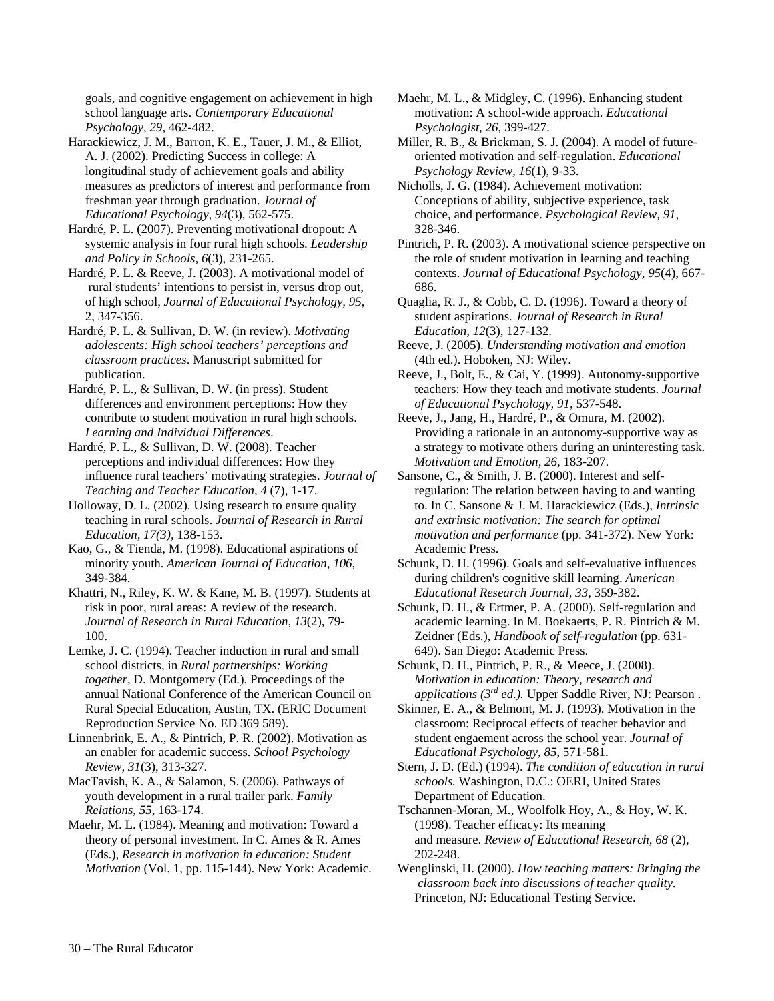goals, and cognitive engagement on achievement in high school language arts. *Contemporary Educational Psychology, 29*, 462-482.

Harackiewicz, J. M., Barron, K. E., Tauer, J. M., & Elliot, A. J. (2002). Predicting Success in college: A longitudinal study of achievement goals and ability measures as predictors of interest and performance from freshman year through graduation. *Journal of Educational Psychology, 94*(3), 562-575.

Hardré, P. L. (2007). Preventing motivational dropout: A systemic analysis in four rural high schools. *Leadership and Policy in Schools, 6*(3), 231-265.

Hardré, P. L. & Reeve, J. (2003). A motivational model of rural students' intentions to persist in, versus drop out, of high school, *Journal of Educational Psychology, 95*, 2, 347-356.

Hardré, P. L. & Sullivan, D. W. (in review). *Motivating adolescents: High school teachers' perceptions and classroom practices*. Manuscript submitted for publication.

Hardré, P. L., & Sullivan, D. W. (in press). Student differences and environment perceptions: How they contribute to student motivation in rural high schools. *Learning and Individual Differences*.

Hardré, P. L., & Sullivan, D. W. (2008). Teacher perceptions and individual differences: How they influence rural teachers' motivating strategies. *Journal of Teaching and Teacher Education, 4* (7), 1-17.

Holloway, D. L. (2002). Using research to ensure quality teaching in rural schools. *Journal of Research in Rural Education, 17(3),* 138-153.

Kao, G., & Tienda, M. (1998). Educational aspirations of minority youth. *American Journal of Education, 106*, 349-384.

Khattri, N., Riley, K. W. & Kane, M. B. (1997). Students at risk in poor, rural areas: A review of the research. *Journal of Research in Rural Education, 13*(2), 79- 100.

Lemke, J. C. (1994). Teacher induction in rural and small school districts, in *Rural partnerships: Working together,* D. Montgomery (Ed.). Proceedings of the annual National Conference of the American Council on Rural Special Education, Austin, TX. (ERIC Document Reproduction Service No. ED 369 589).

Linnenbrink, E. A., & Pintrich, P. R. (2002). Motivation as an enabler for academic success. *School Psychology Review, 31*(3), 313-327.

MacTavish, K. A., & Salamon, S. (2006). Pathways of youth development in a rural trailer park. *Family Relations, 55*, 163-174.

Maehr, M. L. (1984). Meaning and motivation: Toward a theory of personal investment. In C. Ames & R. Ames (Eds.), *Research in motivation in education: Student Motivation* (Vol. 1, pp. 115-144). New York: Academic. Maehr, M. L., & Midgley, C. (1996). Enhancing student motivation: A school-wide approach. *Educational Psychologist, 26*, 399-427.

Miller, R. B., & Brickman, S. J. (2004). A model of futureoriented motivation and self-regulation. *Educational Psychology Review, 16*(1), 9-33.

Nicholls, J. G. (1984). Achievement motivation: Conceptions of ability, subjective experience, task choice, and performance. *Psychological Review, 91*, 328-346.

Pintrich, P. R. (2003). A motivational science perspective on the role of student motivation in learning and teaching contexts. *Journal of Educational Psychology, 95*(4), 667- 686.

Quaglia, R. J., & Cobb, C. D. (1996). Toward a theory of student aspirations. *Journal of Research in Rural Education, 12*(3), 127-132.

Reeve, J. (2005). *Understanding motivation and emotion* (4th ed.). Hoboken, NJ: Wiley.

Reeve, J., Bolt, E., & Cai, Y. (1999). Autonomy-supportive teachers: How they teach and motivate students. *Journal of Educational Psychology, 91,* 537-548.

Reeve, J., Jang, H., Hardré, P., & Omura, M. (2002). Providing a rationale in an autonomy-supportive way as a strategy to motivate others during an uninteresting task. *Motivation and Emotion, 26,* 183-207.

Sansone, C., & Smith, J. B. (2000). Interest and selfregulation: The relation between having to and wanting to. In C. Sansone & J. M. Harackiewicz (Eds.), *Intrinsic and extrinsic motivation: The search for optimal motivation and performance* (pp. 341-372). New York: Academic Press.

Schunk, D. H. (1996). Goals and self-evaluative influences during children's cognitive skill learning. *American Educational Research Journal, 33*, 359-382.

Schunk, D. H., & Ertmer, P. A. (2000). Self-regulation and academic learning. In M. Boekaerts, P. R. Pintrich & M. Zeidner (Eds.), *Handbook of self-regulation* (pp. 631- 649). San Diego: Academic Press.

Schunk, D. H., Pintrich, P. R., & Meece, J. (2008). *Motivation in education: Theory, research and applications (3rd ed.).* Upper Saddle River, NJ: Pearson .

Skinner, E. A., & Belmont, M. J. (1993). Motivation in the classroom: Reciprocal effects of teacher behavior and student engaement across the school year. *Journal of Educational Psychology, 85*, 571-581.

Stern, J. D. (Ed.) (1994). *The condition of education in rural schools.* Washington, D.C.: OERI, United States Department of Education.

Tschannen-Moran, M., Woolfolk Hoy, A., & Hoy, W. K. (1998). Teacher efficacy: Its meaning and measure. *Review of Educational Research, 68* (2), 202-248.

Wenglinski, H. (2000). *How teaching matters: Bringing the classroom back into discussions of teacher quality.* Princeton, NJ: Educational Testing Service.